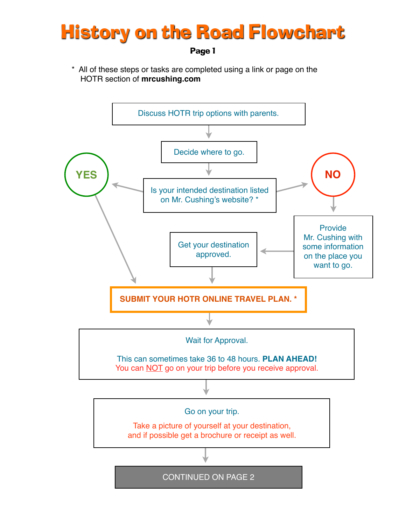## History on the Road Flowchart

Page 1

\* All of these steps or tasks are completed using a link or page on the HOTR section of **mrcushing.com**